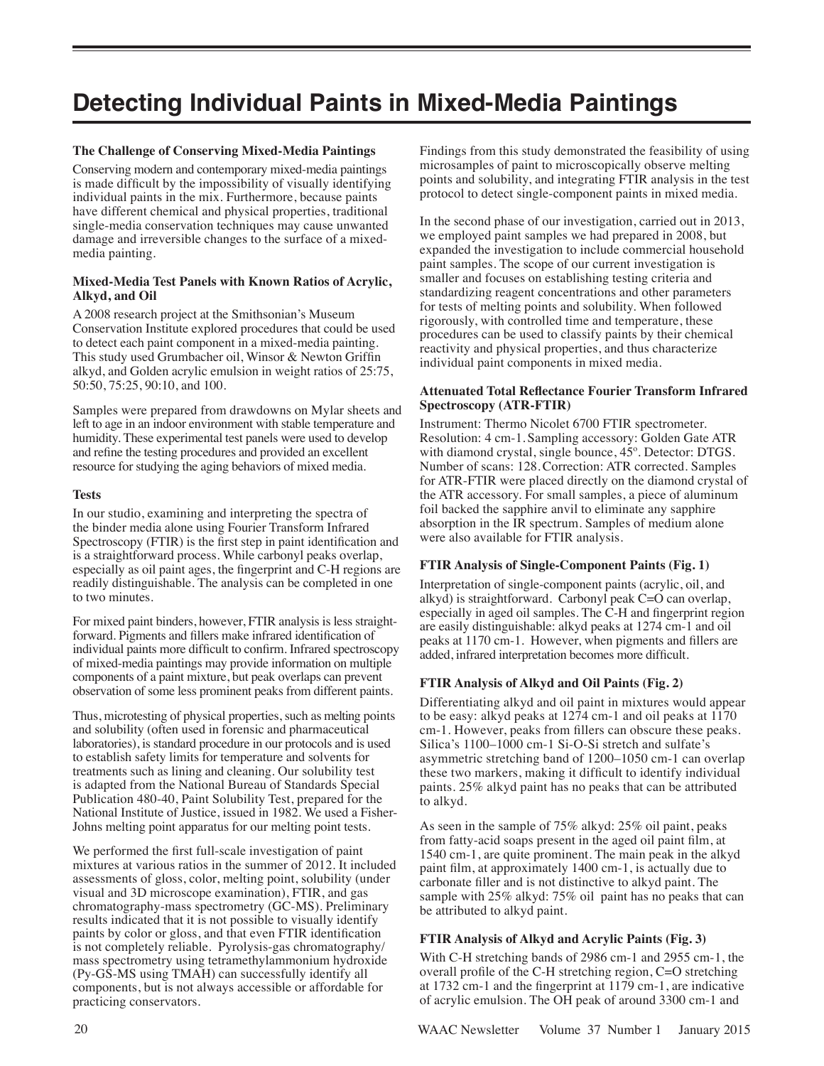# **Detecting Individual Paints in Mixed-Media Paintings**

# **The Challenge of Conserving Mixed-Media Paintings**

Conserving modern and contemporary mixed-media paintings is made difficult by the impossibility of visually identifying individual paints in the mix. Furthermore, because paints have different chemical and physical properties, traditional single-media conservation techniques may cause unwanted damage and irreversible changes to the surface of a mixedmedia painting.

## **Mixed-Media Test Panels with Known Ratios of Acrylic, Alkyd, and Oil**

A 2008 research project at the Smithsonian's Museum Conservation Institute explored procedures that could be used to detect each paint component in a mixed-media painting. This study used Grumbacher oil, Winsor & Newton Griffin alkyd, and Golden acrylic emulsion in weight ratios of 25:75, 50:50, 75:25, 90:10, and 100.

Samples were prepared from drawdowns on Mylar sheets and left to age in an indoor environment with stable temperature and humidity. These experimental test panels were used to develop and refine the testing procedures and provided an excellent resource for studying the aging behaviors of mixed media.

## **Tests**

In our studio, examining and interpreting the spectra of the binder media alone using Fourier Transform Infrared Spectroscopy (FTIR) is the first step in paint identification and is a straightforward process. While carbonyl peaks overlap, especially as oil paint ages, the fingerprint and C-H regions are readily distinguishable. The analysis can be completed in one to two minutes.

For mixed paint binders, however, FTIR analysis is less straightforward. Pigments and fillers make infrared identification of individual paints more difficult to confirm. Infrared spectroscopy of mixed-media paintings may provide information on multiple components of a paint mixture, but peak overlaps can prevent observation of some less prominent peaks from different paints.

Thus, microtesting of physical properties, such as melting points and solubility (often used in forensic and pharmaceutical laboratories), is standard procedure in our protocols and is used to establish safety limits for temperature and solvents for treatments such as lining and cleaning. Our solubility test is adapted from the National Bureau of Standards Special Publication 480-40, Paint Solubility Test, prepared for the National Institute of Justice, issued in 1982. We used a Fisher-Johns melting point apparatus for our melting point tests.

We performed the first full-scale investigation of paint mixtures at various ratios in the summer of 2012. It included assessments of gloss, color, melting point, solubility (under visual and 3D microscope examination), FTIR, and gas chromatography-mass spectrometry (GC-MS). Preliminary results indicated that it is not possible to visually identify paints by color or gloss, and that even FTIR identification is not completely reliable. Pyrolysis-gas chromatography/ mass spectrometry using tetramethylammonium hydroxide (Py-GS-MS using TMAH) can successfully identify all components, but is not always accessible or affordable for practicing conservators.

Findings from this study demonstrated the feasibility of using microsamples of paint to microscopically observe melting points and solubility, and integrating FTIR analysis in the test protocol to detect single-component paints in mixed media.

In the second phase of our investigation, carried out in 2013, we employed paint samples we had prepared in 2008, but expanded the investigation to include commercial household paint samples. The scope of our current investigation is smaller and focuses on establishing testing criteria and standardizing reagent concentrations and other parameters for tests of melting points and solubility. When followed rigorously, with controlled time and temperature, these procedures can be used to classify paints by their chemical reactivity and physical properties, and thus characterize individual paint components in mixed media.

# **Attenuated Total Reflectance Fourier Transform Infrared Spectroscopy (ATR-FTIR)**

Instrument: Thermo Nicolet 6700 FTIR spectrometer. Resolution: 4 cm-1. Sampling accessory: Golden Gate ATR with diamond crystal, single bounce, 45º. Detector: DTGS. Number of scans: 128.Correction: ATR corrected. Samples for ATR-FTIR were placed directly on the diamond crystal of the ATR accessory. For small samples, a piece of aluminum foil backed the sapphire anvil to eliminate any sapphire absorption in the IR spectrum. Samples of medium alone were also available for FTIR analysis.

# **FTIR Analysis of Single-Component Paints (Fig. 1)**

Interpretation of single-component paints (acrylic, oil, and alkyd) is straightforward. Carbonyl peak C=O can overlap, especially in aged oil samples. The C-H and fingerprint region are easily distinguishable: alkyd peaks at 1274 cm-1 and oil peaks at 1170 cm-1. However, when pigments and fillers are added, infrared interpretation becomes more difficult.

# **FTIR Analysis of Alkyd and Oil Paints (Fig. 2)**

Differentiating alkyd and oil paint in mixtures would appear to be easy: alkyd peaks at 1274 cm-1 and oil peaks at 1170 cm-1. However, peaks from fillers can obscure these peaks. Silica's 1100–1000 cm-1 Si-O-Si stretch and sulfate's asymmetric stretching band of 1200–1050 cm-1 can overlap these two markers, making it difficult to identify individual paints. 25% alkyd paint has no peaks that can be attributed to alkyd.

As seen in the sample of 75% alkyd: 25% oil paint, peaks from fatty-acid soaps present in the aged oil paint film, at 1540 cm-1, are quite prominent. The main peak in the alkyd paint film, at approximately 1400 cm-1, is actually due to carbonate filler and is not distinctive to alkyd paint. The sample with 25% alkyd: 75% oil paint has no peaks that can be attributed to alkyd paint.

# **FTIR Analysis of Alkyd and Acrylic Paints (Fig. 3)**

With C-H stretching bands of 2986 cm-1 and 2955 cm-1, the overall profile of the C-H stretching region, C=O stretching at 1732 cm-1 and the fingerprint at 1179 cm-1, are indicative of acrylic emulsion. The OH peak of around 3300 cm-1 and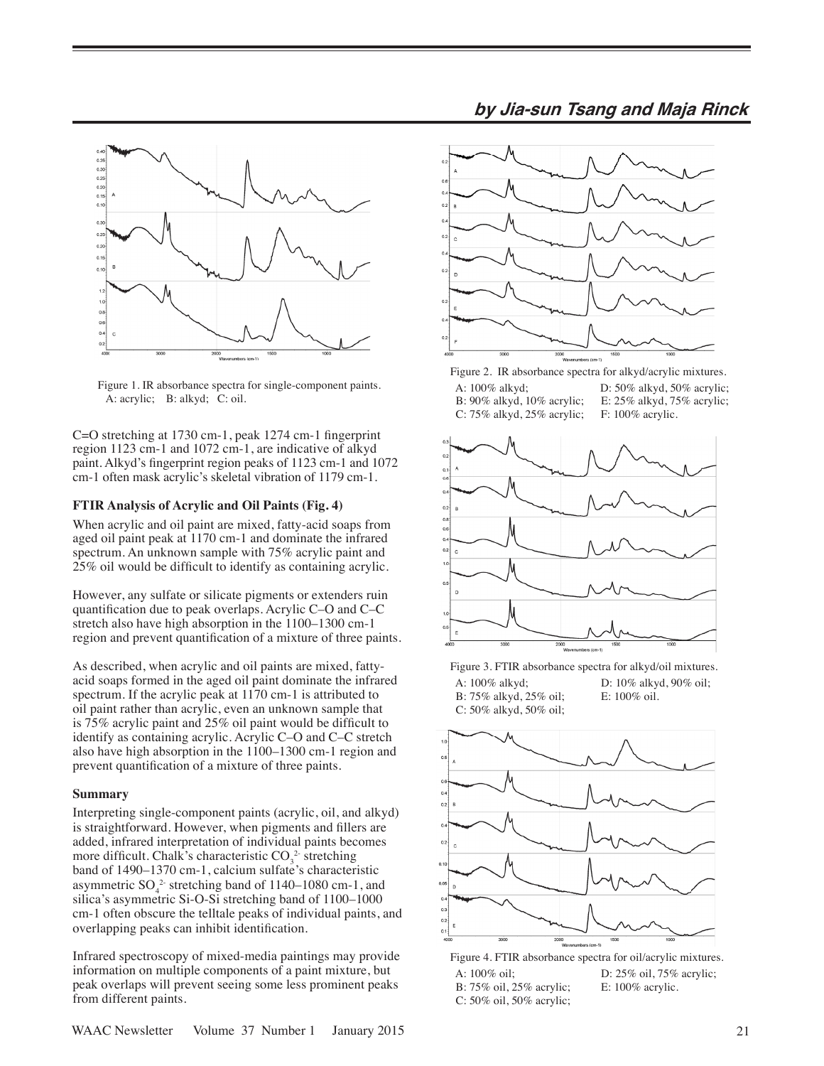

Figure 1. IR absorbance spectra for single-component paints. A: acrylic; B: alkyd; C: oil.

C=O stretching at 1730 cm-1, peak 1274 cm-1 fingerprint region 1123 cm-1 and 1072 cm-1, are indicative of alkyd paint. Alkyd's fingerprint region peaks of 1123 cm-1 and 1072 cm-1 often mask acrylic's skeletal vibration of 1179 cm-1.

#### **FTIR Analysis of Acrylic and Oil Paints (Fig. 4)**

When acrylic and oil paint are mixed, fatty-acid soaps from aged oil paint peak at 1170 cm-1 and dominate the infrared spectrum. An unknown sample with 75% acrylic paint and 25% oil would be difficult to identify as containing acrylic.

However, any sulfate or silicate pigments or extenders ruin quantification due to peak overlaps. Acrylic C–O and C–C stretch also have high absorption in the 1100–1300 cm-1 region and prevent quantification of a mixture of three paints.

As described, when acrylic and oil paints are mixed, fattyacid soaps formed in the aged oil paint dominate the infrared spectrum. If the acrylic peak at 1170 cm-1 is attributed to oil paint rather than acrylic, even an unknown sample that is 75% acrylic paint and 25% oil paint would be difficult to identify as containing acrylic. Acrylic C–O and C–C stretch also have high absorption in the 1100–1300 cm-1 region and prevent quantification of a mixture of three paints.

#### **Summary**

Interpreting single-component paints (acrylic, oil, and alkyd) is straightforward. However, when pigments and fillers are added, infrared interpretation of individual paints becomes more difficult. Chalk's characteristic  $CO_3^2$  stretching band of 1490–1370 cm-1, calcium sulfate's characteristic asymmetric  $SO_4^2$  stretching band of 1140–1080 cm-1, and silica's asymmetric Si-O-Si stretching band of 1100–1000 cm-1 often obscure the telltale peaks of individual paints, and overlapping peaks can inhibit identification.

Infrared spectroscopy of mixed-media paintings may provide information on multiple components of a paint mixture, but peak overlaps will prevent seeing some less prominent peaks from different paints.



Figure 2. IR absorbance spectra for alkyd/acrylic mixtures. A: 100% alkyd; D: 50% alkyd, 50% acrylic; B: 90% alkyd, 10% acrylic; E: 25% alkyd, 75% acrylic; C: 75% alkyd, 25% acrylic; F: 100% acrylic.



Figure 3. FTIR absorbance spectra for alkyd/oil mixtures. A: 100% alkyd;<br>B: 75% alkyd, 25% oil;<br>E: 100% oil.<br>E: 100% oil.

B: 75% alkyd, 25% oil; C: 50% alkyd, 50% oil;



Figure 4. FTIR absorbance spectra for oil/acrylic mixtures. A: 100% oil; D: 25% oil, 75% acrylic; B: 75% oil, 25% acrylic; E: 100% acrylic. C: 50% oil, 50% acrylic;

# **by Jia-sun Tsang and Maja Rinck**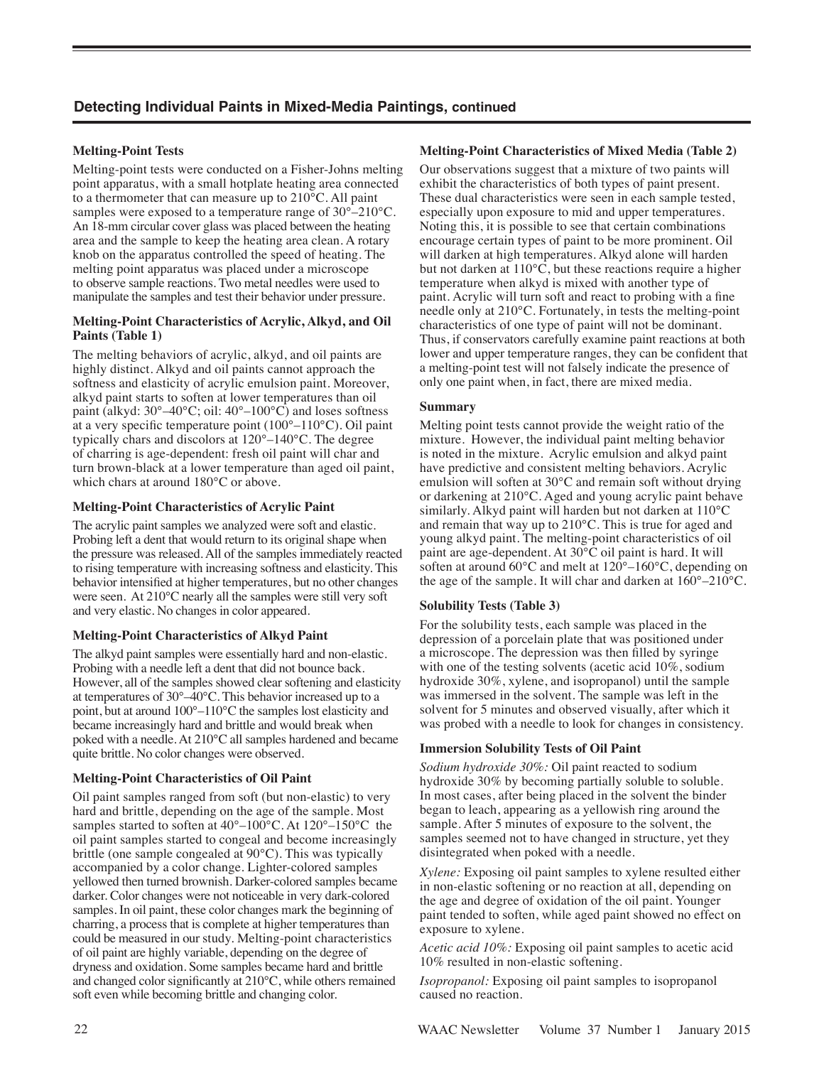# **Detecting Individual Paints in Mixed-Media Paintings, continued**

# **Melting-Point Tests**

Melting-point tests were conducted on a Fisher-Johns melting point apparatus, with a small hotplate heating area connected to a thermometer that can measure up to 210°C. All paint samples were exposed to a temperature range of 30°–210°C. An 18-mm circular cover glass was placed between the heating area and the sample to keep the heating area clean. A rotary knob on the apparatus controlled the speed of heating. The melting point apparatus was placed under a microscope to observe sample reactions. Two metal needles were used to manipulate the samples and test their behavior under pressure.

#### **Melting-Point Characteristics of Acrylic, Alkyd, and Oil Paints (Table 1)**

The melting behaviors of acrylic, alkyd, and oil paints are highly distinct. Alkyd and oil paints cannot approach the softness and elasticity of acrylic emulsion paint. Moreover, alkyd paint starts to soften at lower temperatures than oil paint (alkyd: 30°–40°C; oil: 40°–100°C) and loses softness at a very specific temperature point (100°–110°C). Oil paint typically chars and discolors at 120°–140°C. The degree of charring is age-dependent: fresh oil paint will char and turn brown-black at a lower temperature than aged oil paint, which chars at around 180°C or above.

## **Melting-Point Characteristics of Acrylic Paint**

The acrylic paint samples we analyzed were soft and elastic. Probing left a dent that would return to its original shape when the pressure was released. All of the samples immediately reacted to rising temperature with increasing softness and elasticity. This behavior intensified at higher temperatures, but no other changes were seen. At 210°C nearly all the samples were still very soft and very elastic. No changes in color appeared.

#### **Melting-Point Characteristics of Alkyd Paint**

The alkyd paint samples were essentially hard and non-elastic. Probing with a needle left a dent that did not bounce back. However, all of the samples showed clear softening and elasticity at temperatures of 30°–40°C. This behavior increased up to a point, but at around 100°–110°C the samples lost elasticity and became increasingly hard and brittle and would break when poked with a needle. At 210°C all samples hardened and became quite brittle. No color changes were observed.

#### **Melting-Point Characteristics of Oil Paint**

Oil paint samples ranged from soft (but non-elastic) to very hard and brittle, depending on the age of the sample. Most samples started to soften at 40°–100°C. At 120°–150°C the oil paint samples started to congeal and become increasingly brittle (one sample congealed at 90°C). This was typically accompanied by a color change. Lighter-colored samples yellowed then turned brownish. Darker-colored samples became darker. Color changes were not noticeable in very dark-colored samples. In oil paint, these color changes mark the beginning of charring, a process that is complete at higher temperatures than could be measured in our study. Melting-point characteristics of oil paint are highly variable, depending on the degree of dryness and oxidation. Some samples became hard and brittle and changed color significantly at 210°C, while others remained soft even while becoming brittle and changing color.

#### **Melting-Point Characteristics of Mixed Media (Table 2)**

Our observations suggest that a mixture of two paints will exhibit the characteristics of both types of paint present. These dual characteristics were seen in each sample tested, especially upon exposure to mid and upper temperatures. Noting this, it is possible to see that certain combinations encourage certain types of paint to be more prominent. Oil will darken at high temperatures. Alkyd alone will harden but not darken at 110°C, but these reactions require a higher temperature when alkyd is mixed with another type of paint. Acrylic will turn soft and react to probing with a fine needle only at 210°C. Fortunately, in tests the melting-point characteristics of one type of paint will not be dominant. Thus, if conservators carefully examine paint reactions at both lower and upper temperature ranges, they can be confident that a melting-point test will not falsely indicate the presence of only one paint when, in fact, there are mixed media.

#### **Summary**

Melting point tests cannot provide the weight ratio of the mixture. However, the individual paint melting behavior is noted in the mixture. Acrylic emulsion and alkyd paint have predictive and consistent melting behaviors. Acrylic emulsion will soften at 30°C and remain soft without drying or darkening at 210°C. Aged and young acrylic paint behave similarly. Alkyd paint will harden but not darken at 110°C and remain that way up to 210°C. This is true for aged and young alkyd paint. The melting-point characteristics of oil paint are age-dependent. At 30°C oil paint is hard. It will soften at around 60°C and melt at 120°–160°C, depending on the age of the sample. It will char and darken at 160°–210°C.

#### **Solubility Tests (Table 3)**

For the solubility tests, each sample was placed in the depression of a porcelain plate that was positioned under a microscope. The depression was then filled by syringe with one of the testing solvents (acetic acid 10%, sodium hydroxide 30%, xylene, and isopropanol) until the sample was immersed in the solvent. The sample was left in the solvent for 5 minutes and observed visually, after which it was probed with a needle to look for changes in consistency.

#### **Immersion Solubility Tests of Oil Paint**

*Sodium hydroxide 30%:* Oil paint reacted to sodium hydroxide 30% by becoming partially soluble to soluble. In most cases, after being placed in the solvent the binder began to leach, appearing as a yellowish ring around the sample. After 5 minutes of exposure to the solvent, the samples seemed not to have changed in structure, yet they disintegrated when poked with a needle.

*Xylene:* Exposing oil paint samples to xylene resulted either in non-elastic softening or no reaction at all, depending on the age and degree of oxidation of the oil paint. Younger paint tended to soften, while aged paint showed no effect on exposure to xylene.

*Acetic acid 10%:* Exposing oil paint samples to acetic acid 10% resulted in non-elastic softening.

*Isopropanol:* Exposing oil paint samples to isopropanol caused no reaction.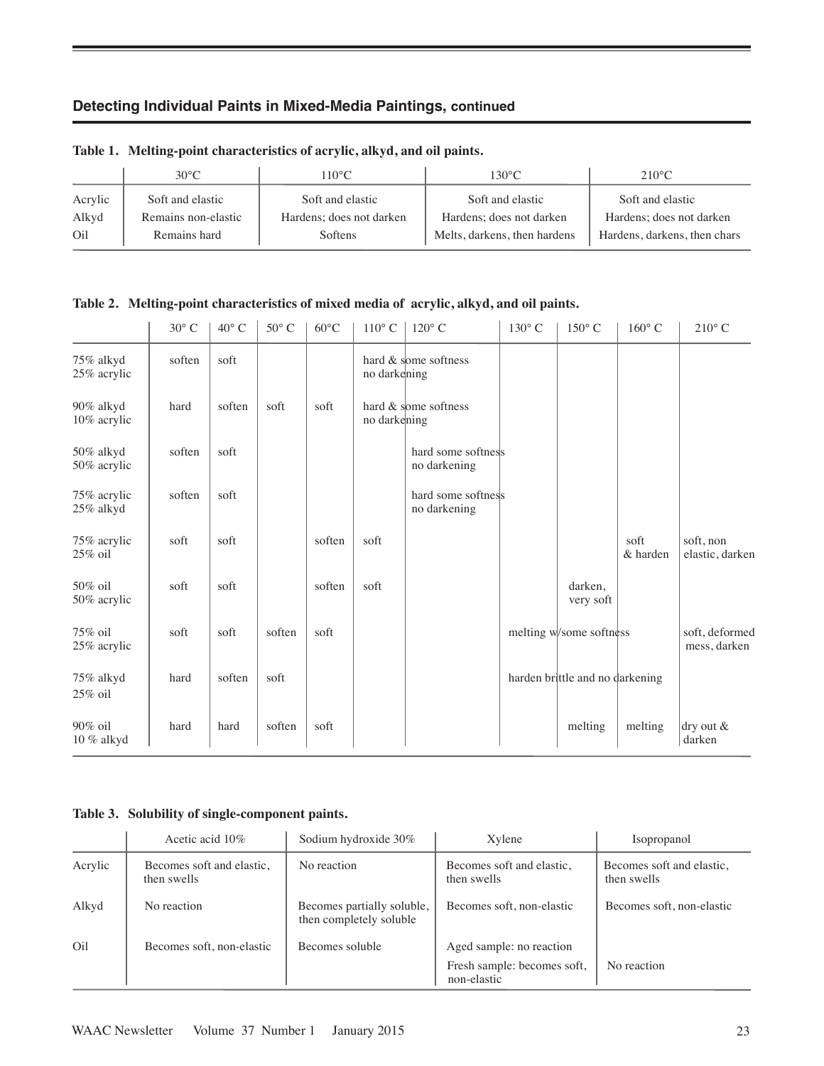# **Detecting Individual Paints in Mixed-Media Paintings, continued**

|         | $30^{\circ}$ C      | $110^{\circ}$ C          | $130^{\circ}$ C.             | $210^{\circ}$ C              |
|---------|---------------------|--------------------------|------------------------------|------------------------------|
| Acrylic | Soft and elastic    | Soft and elastic         | Soft and elastic             | Soft and elastic             |
| Alkyd   | Remains non-elastic | Hardens; does not darken | Hardens; does not darken     | Hardens; does not darken     |
| Oil     | Remains hard        | Softens                  | Melts, darkens, then hardens | Hardens, darkens, then chars |

# **Table 1. Melting-point characteristics of acrylic, alkyd, and oil paints.**

**Table 2. Melting-point characteristics of mixed media of acrylic, alkyd, and oil paints.**

|                             | $30^{\circ}$ C | $40^{\circ}$ C | $50^{\circ}$ C | $60^{\circ}$ C | $110^{\circ}$ C | $120^{\circ}$ C                    | $130^{\circ}$ C | $150^{\circ}$ C                 | $160^{\circ}$ C  | $210^{\circ}$ C                |
|-----------------------------|----------------|----------------|----------------|----------------|-----------------|------------------------------------|-----------------|---------------------------------|------------------|--------------------------------|
| 75% alkyd<br>25% acrylic    | soften         | soft           |                |                | no darkening    | hard & some softness               |                 |                                 |                  |                                |
| 90% alkyd<br>10% acrylic    | hard           | soften         | soft           | soft           | no darkening    | hard & some softness               |                 |                                 |                  |                                |
| 50% alkyd<br>50% acrylic    | soften         | soft           |                |                |                 | hard some softness<br>no darkening |                 |                                 |                  |                                |
| 75% acrylic<br>$25\%$ alkyd | soften         | soft           |                |                |                 | hard some softness<br>no darkening |                 |                                 |                  |                                |
| 75% acrylic<br>$25\%$ oil   | soft           | soft           |                | soften         | soft            |                                    |                 |                                 | soft<br>& harden | soft, non<br>elastic, darken   |
| 50% oil<br>50% acrylic      | soft           | soft           |                | soften         | soft            |                                    |                 | darken,<br>very soft            |                  |                                |
| 75% oil<br>25% acrylic      | soft           | soft           | soften         | soft           |                 |                                    |                 | melting w/some softness         |                  | soft, deformed<br>mess, darken |
| 75% alkyd<br>$25\%$ oil     | hard           | soften         | soft           |                |                 |                                    |                 | harden brittle and no darkening |                  |                                |
| $90\%$ oil<br>$10~\%$ alkyd | hard           | hard           | soften         | soft           |                 |                                    |                 | melting                         | melting          | $\text{dry out } \&$<br>darken |

# **Table 3. Solubility of single-component paints.**

|         | Acetic acid $10\%$                       | Sodium hydroxide 30%                                  | Xylene                                     | Isopropanol                              |
|---------|------------------------------------------|-------------------------------------------------------|--------------------------------------------|------------------------------------------|
| Acrylic | Becomes soft and elastic,<br>then swells | No reaction                                           | Becomes soft and elastic,<br>then swells   | Becomes soft and elastic,<br>then swells |
| Alkyd   | No reaction                              | Becomes partially soluble,<br>then completely soluble | Becomes soft, non-elastic                  | Becomes soft, non-elastic                |
| Oil     | Becomes soft, non-elastic                | Becomes soluble                                       | Aged sample: no reaction                   |                                          |
|         |                                          |                                                       | Fresh sample: becomes soft,<br>non-elastic | No reaction                              |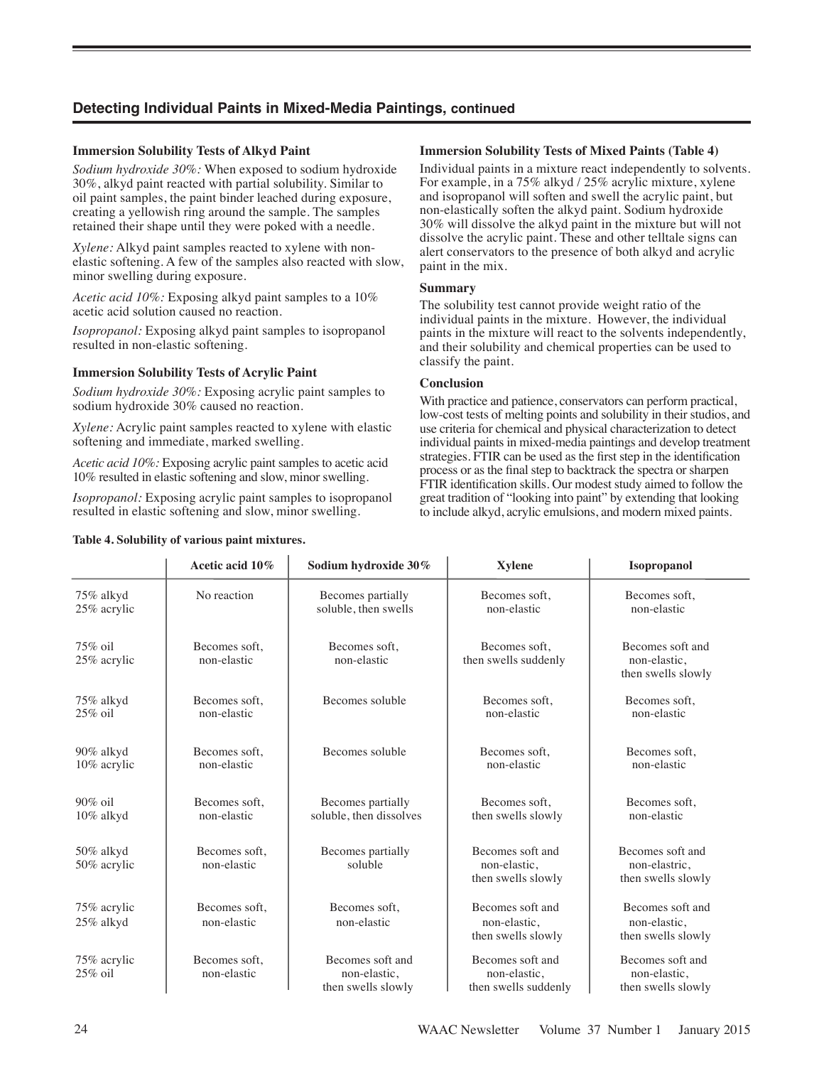# **Detecting Individual Paints in Mixed-Media Paintings, continued**

## **Immersion Solubility Tests of Alkyd Paint**

*Sodium hydroxide 30%:* When exposed to sodium hydroxide 30%, alkyd paint reacted with partial solubility. Similar to oil paint samples, the paint binder leached during exposure, creating a yellowish ring around the sample. The samples retained their shape until they were poked with a needle.

*Xylene:* Alkyd paint samples reacted to xylene with nonelastic softening. A few of the samples also reacted with slow, minor swelling during exposure.

*Acetic acid 10%:* Exposing alkyd paint samples to a 10% acetic acid solution caused no reaction.

*Isopropanol:* Exposing alkyd paint samples to isopropanol resulted in non-elastic softening.

## **Immersion Solubility Tests of Acrylic Paint**

*Sodium hydroxide 30%:* Exposing acrylic paint samples to sodium hydroxide 30% caused no reaction.

*Xylene:* Acrylic paint samples reacted to xylene with elastic softening and immediate, marked swelling.

*Acetic acid 10%:* Exposing acrylic paint samples to acetic acid 10% resulted in elastic softening and slow, minor swelling.

*Isopropanol:* Exposing acrylic paint samples to isopropanol resulted in elastic softening and slow, minor swelling.

#### **Table 4. Solubility of various paint mixtures.**

#### **Immersion Solubility Tests of Mixed Paints (Table 4)**

Individual paints in a mixture react independently to solvents. For example, in a 75% alkyd / 25% acrylic mixture, xylene and isopropanol will soften and swell the acrylic paint, but non-elastically soften the alkyd paint. Sodium hydroxide 30% will dissolve the alkyd paint in the mixture but will not dissolve the acrylic paint. These and other telltale signs can alert conservators to the presence of both alkyd and acrylic paint in the mix.

#### **Summary**

The solubility test cannot provide weight ratio of the individual paints in the mixture. However, the individual paints in the mixture will react to the solvents independently, and their solubility and chemical properties can be used to classify the paint.

#### **Conclusion**

With practice and patience, conservators can perform practical, low-cost tests of melting points and solubility in their studios, and use criteria for chemical and physical characterization to detect individual paints in mixed-media paintings and develop treatment strategies. FTIR can be used as the first step in the identification process or as the final step to backtrack the spectra or sharpen FTIR identification skills. Our modest study aimed to follow the great tradition of "looking into paint" by extending that looking to include alkyd, acrylic emulsions, and modern mixed paints.

|                             | Acetic acid 10%              | Sodium hydroxide 30%                                                                   | <b>Xylene</b>                                            | <b>Isopropanol</b>                                      |  |  |
|-----------------------------|------------------------------|----------------------------------------------------------------------------------------|----------------------------------------------------------|---------------------------------------------------------|--|--|
| 75% alkyd<br>25% acrylic    | No reaction                  | Becomes partially<br>soluble, then swells                                              | Becomes soft,<br>non-elastic                             | Becomes soft,<br>non-elastic                            |  |  |
| $75\%$ oil<br>25% acrylic   | Becomes soft,<br>non-elastic | Becomes soft,<br>Becomes soft,<br>non-elastic<br>then swells suddenly                  |                                                          | Becomes soft and<br>non-elastic.<br>then swells slowly  |  |  |
| 75% alkyd<br>$25\%$ oil     | Becomes soft,<br>non-elastic | Becomes soluble                                                                        | Becomes soft.<br>non-elastic                             | Becomes soft.<br>non-elastic                            |  |  |
| 90% alkyd<br>10% acrylic    | Becomes soft.<br>non-elastic | Becomes soluble                                                                        | Becomes soft.<br>non-elastic                             | Becomes soft.<br>non-elastic                            |  |  |
| $90\%$ oil<br>$10\%$ alkyd  | Becomes soft,<br>non-elastic | Becomes partially<br>soluble, then dissolves                                           | Becomes soft,<br>then swells slowly                      | Becomes soft,<br>non-elastic                            |  |  |
| 50% alkyd<br>50% acrylic    | Becomes soft.<br>non-elastic | Becomes soft and<br>Becomes partially<br>soluble<br>non-elastic,<br>then swells slowly |                                                          | Becomes soft and<br>non-elastric,<br>then swells slowly |  |  |
| 75% acrylic<br>$25\%$ alkyd | Becomes soft.<br>non-elastic | Becomes soft,<br>non-elastic                                                           | Becomes soft and<br>non-elastic,<br>then swells slowly   | Becomes soft and<br>non-elastic.<br>then swells slowly  |  |  |
| 75% acrylic<br>$25\%$ oil   | Becomes soft,<br>non-elastic | Becomes soft and<br>non-elastic.<br>then swells slowly                                 | Becomes soft and<br>non-elastic,<br>then swells suddenly | Becomes soft and<br>non-elastic,<br>then swells slowly  |  |  |